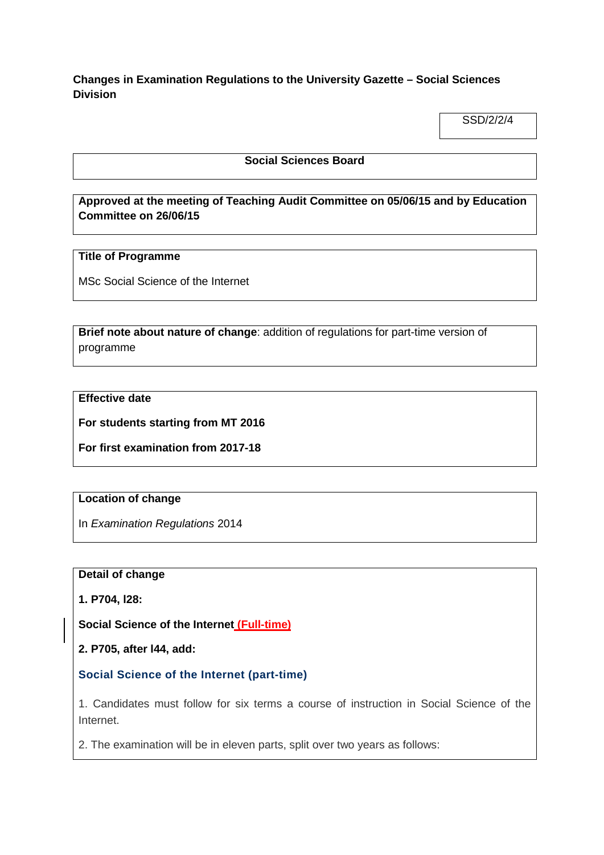**Changes in Examination Regulations to the University Gazette – Social Sciences Division**

SSD/2/2/4

#### **Social Sciences Board**

**Approved at the meeting of Teaching Audit Committee on 05/06/15 and by Education Committee on 26/06/15**

### **Title of Programme**

MSc Social Science of the Internet

**Brief note about nature of change**: addition of regulations for part-time version of programme

## **Effective date**

**For students starting from MT 2016**

**For first examination from 2017-18**

## **Location of change**

In *Examination Regulations* 2014

#### **Detail of change**

**1. P704, l28:**

**Social Science of the Internet (Full-time)**

**2. P705, after l44, add:**

**Social Science of the Internet (part-time)**

1. Candidates must follow for six terms a course of instruction in Social Science of the Internet.

2. The examination will be in eleven parts, split over two years as follows: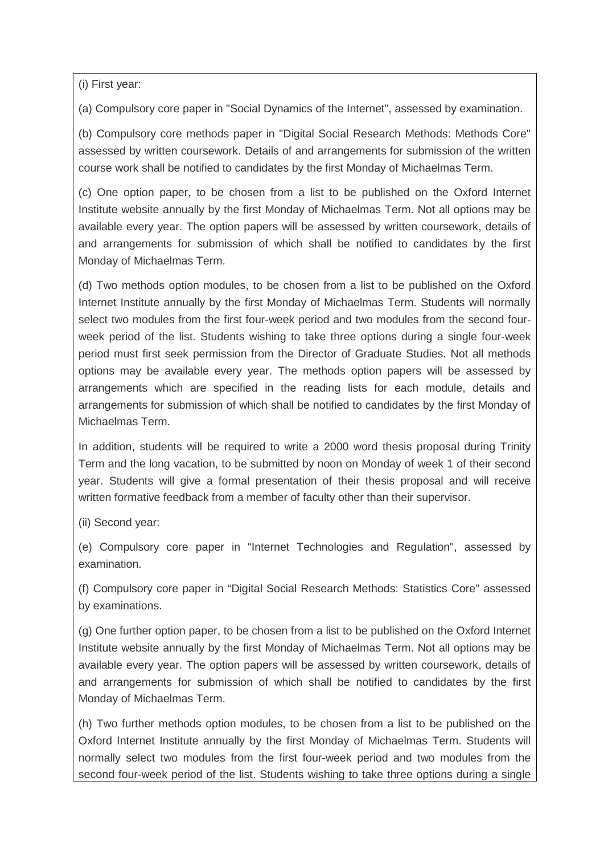(i) First year:

(a) Compulsory core paper in "Social Dynamics of the Internet", assessed by examination.

(b) Compulsory core methods paper in "Digital Social Research Methods: Methods Core" assessed by written coursework. Details of and arrangements for submission of the written course work shall be notified to candidates by the first Monday of Michaelmas Term.

(c) One option paper, to be chosen from a list to be published on the Oxford Internet Institute website annually by the first Monday of Michaelmas Term. Not all options may be available every year. The option papers will be assessed by written coursework, details of and arrangements for submission of which shall be notified to candidates by the first Monday of Michaelmas Term.

(d) Two methods option modules, to be chosen from a list to be published on the Oxford Internet Institute annually by the first Monday of Michaelmas Term. Students will normally select two modules from the first four-week period and two modules from the second fourweek period of the list. Students wishing to take three options during a single four-week period must first seek permission from the Director of Graduate Studies. Not all methods options may be available every year. The methods option papers will be assessed by arrangements which are specified in the reading lists for each module, details and arrangements for submission of which shall be notified to candidates by the first Monday of Michaelmas Term.

In addition, students will be required to write a 2000 word thesis proposal during Trinity Term and the long vacation, to be submitted by noon on Monday of week 1 of their second year. Students will give a formal presentation of their thesis proposal and will receive written formative feedback from a member of faculty other than their supervisor.

(ii) Second year:

(e) Compulsory core paper in "Internet Technologies and Regulation", assessed by examination.

(f) Compulsory core paper in "Digital Social Research Methods: Statistics Core" assessed by examinations.

(g) One further option paper, to be chosen from a list to be published on the Oxford Internet Institute website annually by the first Monday of Michaelmas Term. Not all options may be available every year. The option papers will be assessed by written coursework, details of and arrangements for submission of which shall be notified to candidates by the first Monday of Michaelmas Term.

(h) Two further methods option modules, to be chosen from a list to be published on the Oxford Internet Institute annually by the first Monday of Michaelmas Term. Students will normally select two modules from the first four-week period and two modules from the second four-week period of the list. Students wishing to take three options during a single